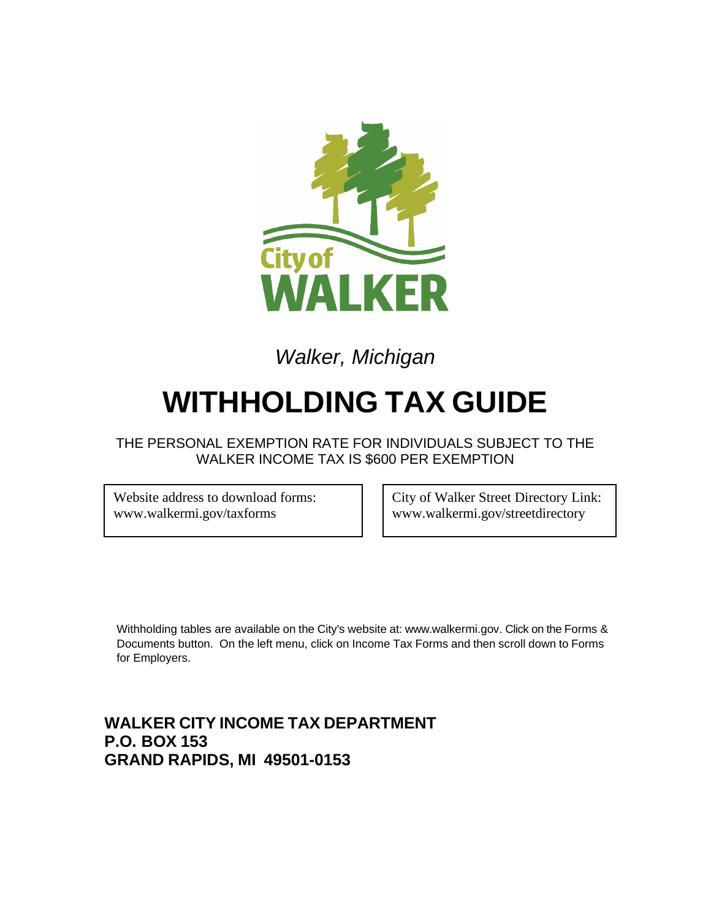

# *Walker, Michigan*

# **WITHHOLDING TAX GUIDE**

THE PERSONAL EXEMPTION RATE FOR INDIVIDUALS SUBJECT TO THE WALKER INCOME TAX IS \$600 PER EXEMPTION

Website address to download forms: www.walkermi.gov/taxforms

City of Walker Street Directory Link: www.walkermi.gov/streetdirectory

Withholding tables are available on the City's website at: www[.walkermi.gov.](http://www.ci.walker.mi.us/) Click on the Forms & Documents button. On the left menu, click on Income Tax Forms and then scroll down to Forms for Employers.

## **WALKER CITY INCOME TAX DEPARTMENT P.O. BOX 153 GRAND RAPIDS, MI 49501-0153**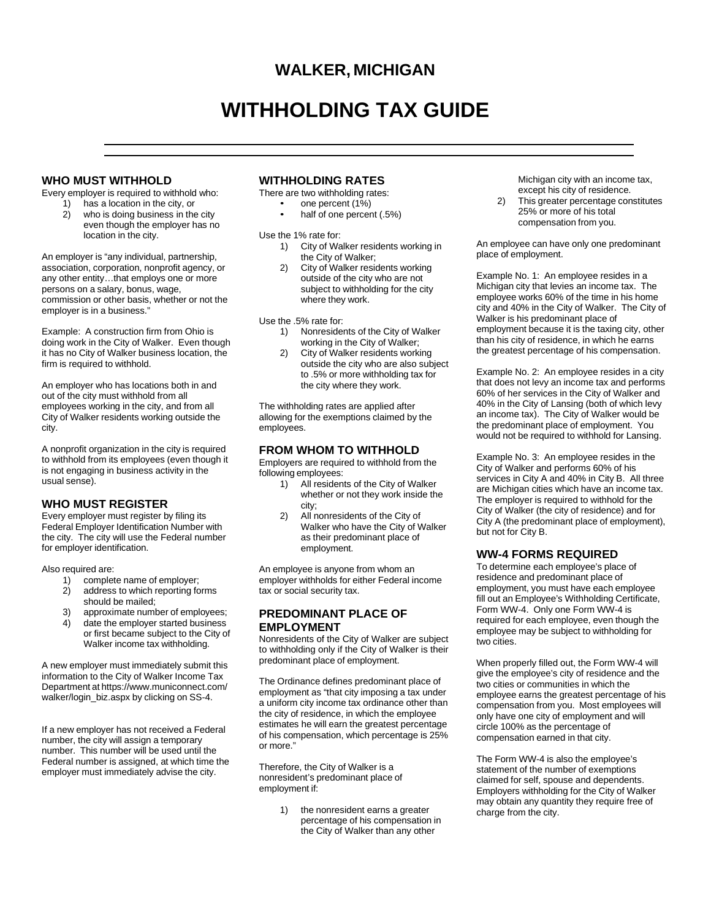### **WALKER, MICHIGAN**

## **WITHHOLDING TAX GUIDE**

#### **WHO MUST WITHHOLD**

Every employer is required to withhold who:

1) has a location in the city, or<br>2) who is doing business in the

who is doing business in the city even though the employer has no location in the city.

An employer is "any individual, partnership, association, corporation, nonprofit agency, or any other entity…that employs one or more persons on a salary, bonus, wage, commission or other basis, whether or not the employer is in a business."

Example: A construction firm from Ohio is doing work in the City of Walker. Even though it has no City of Walker business location, the firm is required to withhold.

An employer who has locations both in and out of the city must withhold from all employees working in the city, and from all City of Walker residents working outside the city.

A nonprofit organization in the city is required to withhold from its employees (even though it is not engaging in business activity in the usual sense).

#### **WHO MUST REGISTER**

Every employer must register by filing its Federal Employer Identification Number with the city. The city will use the Federal number for employer identification.

Also required are:

- 1) complete name of employer;
- 2) address to which reporting forms should be mailed;
- 3) approximate number of employees;
- 4) date the employer started business or first became subject to the City of Walker income tax withholding.

A new employer must immediately submit this information to the City of Walker Income Tax Department at [https://www.municonnect](http://www.municonnect.com/).com/ walker/login\_biz.aspx by clicking on SS-4.

If a new employer has not received a Federal number, the city will assign a temporary number. This number will be used until the Federal number is assigned, at which time the employer must immediately advise the city.

#### **WITHHOLDING RATES**

There are two withholding rates:

- one percent (1%)
- half of one percent (.5%)

Use the 1% rate for:

- 1) City of Walker residents working in the City of Walker;
- 2) City of Walker residents working outside of the city who are not subject to withholding for the city where they work.

Use the .5% rate for:

- 1) Nonresidents of the City of Walker working in the City of Walker;
- 2) City of Walker residents working outside the city who are also subject to .5% or more withholding tax for the city where they work.

The withholding rates are applied after allowing for the exemptions claimed by the employees.

#### **FROM WHOM TO WITHHOLD**

Employers are required to withhold from the following employees:<br>1) All residen

- All residents of the City of Walker whether or not they work inside the city;
- 2) All nonresidents of the City of Walker who have the City of Walker as their predominant place of employment.

An employee is anyone from whom an employer withholds for either Federal income tax or social security tax.

#### **PREDOMINANT PLACE OF EMPLOYMENT**

Nonresidents of the City of Walker are subject to withholding only if the City of Walker is their predominant place of employment.

The Ordinance defines predominant place of employment as "that city imposing a tax under a uniform city income tax ordinance other than the city of residence, in which the employee estimates he will earn the greatest percentage of his compensation, which percentage is 25% or more."

Therefore, the City of Walker is a nonresident's predominant place of employment if:

> 1) the nonresident earns a greater percentage of his compensation in the City of Walker than any other

Michigan city with an income tax, except his city of residence.

2) This greater percentage constitutes 25% or more of his total compensation from you.

An employee can have only one predominant place of employment.

Example No. 1: An employee resides in a Michigan city that levies an income tax. The employee works 60% of the time in his home city and 40% in the City of Walker. The City of Walker is his predominant place of employment because it is the taxing city, other than his city of residence, in which he earns the greatest percentage of his compensation.

Example No. 2: An employee resides in a city that does not levy an income tax and performs 60% of her services in the City of Walker and 40% in the City of Lansing (both of which levy an income tax). The City of Walker would be the predominant place of employment. You would not be required to withhold for Lansing.

Example No. 3: An employee resides in the City of Walker and performs 60% of his services in City A and 40% in City B. All three are Michigan cities which have an income tax. The employer is required to withhold for the City of Walker (the city of residence) and for City A (the predominant place of employment), but not for City B.

#### **WW-4 FORMS REQUIRED**

To determine each employee's place of residence and predominant place of employment, you must have each employee fill out an Employee's Withholding Certificate, Form WW-4. Only one Form WW-4 is required for each employee, even though the employee may be subject to withholding for two cities.

When properly filled out, the Form WW-4 will give the employee's city of residence and the two cities or communities in which the employee earns the greatest percentage of his compensation from you. Most employees will only have one city of employment and will circle 100% as the percentage of compensation earned in that city.

The Form WW-4 is also the employee's statement of the number of exemptions claimed for self, spouse and dependents. Employers withholding for the City of Walker may obtain any quantity they require free of charge from the city.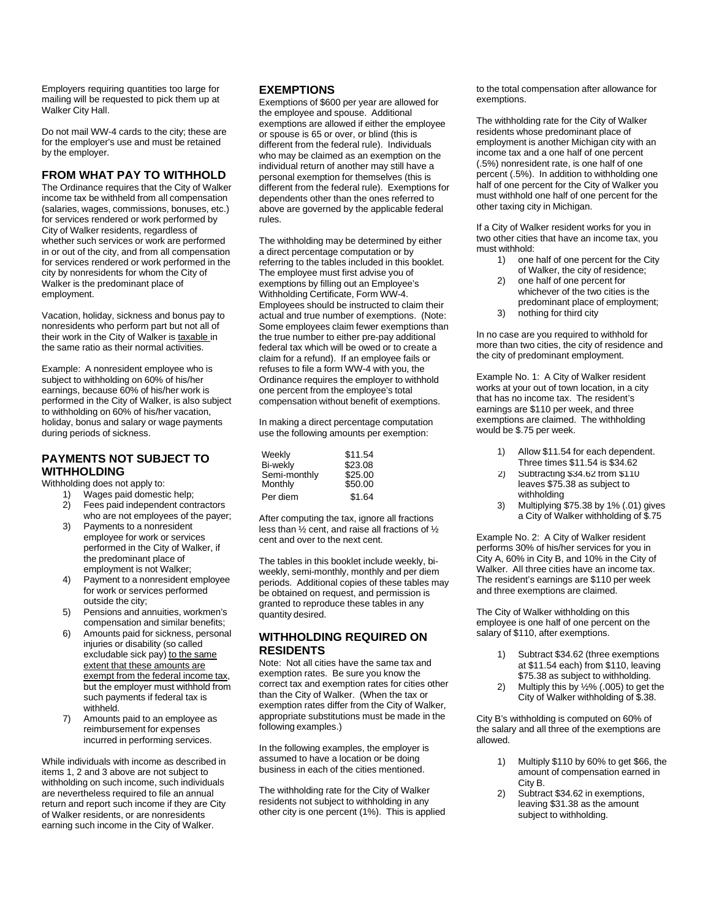Employers requiring quantities too large for mailing will be requested to pick them up at Walker City Hall.

Do not mail WW-4 cards to the city; these are for the employer's use and must be retained by the employer.

#### **FROM WHAT PAY TO WITHHOLD**

The Ordinance requires that the City of Walker income tax be withheld from all compensation (salaries, wages, commissions, bonuses, etc.) for services rendered or work performed by City of Walker residents, regardless of whether such services or work are performed in or out of the city, and from all compensation for services rendered or work performed in the city by nonresidents for whom the City of Walker is the predominant place of employment.

Vacation, holiday, sickness and bonus pay to nonresidents who perform part but not all of their work in the City of Walker is taxable in the same ratio as their normal activities.

Example: A nonresident employee who is subject to withholding on 60% of his/her earnings, because 60% of his/her work is performed in the City of Walker, is also subject to withholding on 60% of his/her vacation, holiday, bonus and salary or wage payments during periods of sickness.

#### **PAYMENTS NOT SUBJECT TO WITHHOLDING**

Withholding does not apply to:

- 1) Wages paid domestic help;<br>2) Fees paid independent com Fees paid independent contractors
- who are not employees of the payer;
- 3) Payments to a nonresident employee for work or services performed in the City of Walker, if the predominant place of employment is not Walker;
- 4) Payment to a nonresident employee for work or services performed outside the city;
- 5) Pensions and annuities, workmen's compensation and similar benefits;
- 6) Amounts paid for sickness, personal injuries or disability (so called excludable sick pay) to the same extent that these amounts are exempt from the federal income tax, but the employer must withhold from such payments if federal tax is withheld.
- 7) Amounts paid to an employee as reimbursement for expenses incurred in performing services.

While individuals with income as described in items 1, 2 and 3 above are not subject to withholding on such income, such individuals are nevertheless required to file an annual return and report such income if they are City of Walker residents, or are nonresidents earning such income in the City of Walker.

#### **EXEMPTIONS**

Exemptions of \$600 per year are allowed for the employee and spouse. Additional exemptions are allowed if either the employee or spouse is 65 or over, or blind (this is different from the federal rule). Individuals who may be claimed as an exemption on the individual return of another may still have a personal exemption for themselves (this is different from the federal rule). Exemptions for dependents other than the ones referred to above are governed by the applicable federal rules.

The withholding may be determined by either a direct percentage computation or by referring to the tables included in this booklet. The employee must first advise you of exemptions by filling out an Employee's Withholding Certificate, Form WW-4. Employees should be instructed to claim their actual and true number of exemptions. (Note: Some employees claim fewer exemptions than the true number to either pre-pay additional federal tax which will be owed or to create a claim for a refund). If an employee fails or refuses to file a form WW-4 with you, the Ordinance requires the employer to withhold one percent from the employee's total compensation without benefit of exemptions.

In making a direct percentage computation use the following amounts per exemption:

| Weekly                  | \$11.54            |
|-------------------------|--------------------|
| <b>Bi-wekly</b>         | \$23.08            |
| Semi-monthly<br>Monthly | \$25.00<br>\$50.00 |
| Per diem                | \$1.64             |

After computing the tax, ignore all fractions less than ½ cent, and raise all fractions of ½ cent and over to the next cent.

The tables in this booklet include weekly, biweekly, semi-monthly, monthly and per diem periods. Additional copies of these tables may be obtained on request, and permission is granted to reproduce these tables in any quantity desired.

#### **WITHHOLDING REQUIRED ON RESIDENTS**

Note: Not all cities have the same tax and exemption rates. Be sure you know the correct tax and exemption rates for cities other than the City of Walker. (When the tax or exemption rates differ from the City of Walker, appropriate substitutions must be made in the following examples.)

In the following examples, the employer is assumed to have a location or be doing business in each of the cities mentioned.

The withholding rate for the City of Walker residents not subject to withholding in any other city is one percent (1%). This is applied to the total compensation after allowance for exemptions.

The withholding rate for the City of Walker residents whose predominant place of employment is another Michigan city with an income tax and a one half of one percent (.5%) nonresident rate, is one half of one percent (.5%). In addition to withholding one half of one percent for the City of Walker you must withhold one half of one percent for the other taxing city in Michigan.

If a City of Walker resident works for you in two other cities that have an income tax, you must withhold:

- 1) one half of one percent for the City of Walker, the city of residence;
- 2) one half of one percent for whichever of the two cities is the predominant place of employment;
- 3) nothing for third city

In no case are you required to withhold for more than two cities, the city of residence and the city of predominant employment.

Example No. 1: A City of Walker resident works at your out of town location, in a city that has no income tax. The resident's earnings are \$110 per week, and three exemptions are claimed. The withholding would be \$.75 per week.

- 1) Allow \$11.54 for each dependent. Three times \$11.54 is \$34.62
- withholding  $2)$  Subtracting  $$34.62$  from  $$110$ leaves \$75.38 as subject to
- 3) Multiplying \$75.38 by 1% (.01) gives a City of Walker withholding of \$.75

Example No. 2: A City of Walker resident performs 30% of his/her services for you in City A, 60% in City B, and 10% in the City of Walker. All three cities have an income tax. The resident's earnings are \$110 per week and three exemptions are claimed.

The City of Walker withholding on this employee is one half of one percent on the salary of \$110, after exemptions.

- 1) Subtract \$34.62 (three exemptions at \$11.54 each) from \$110, leaving \$75.38 as subject to withholding.
- 2) Multiply this by ½% (.005) to get the City of Walker withholding of \$.38.

City B's withholding is computed on 60% of the salary and all three of the exemptions are allowed.

- 1) Multiply \$110 by 60% to get \$66, the amount of compensation earned in City B.
- 2) Subtract \$34.62 in exemptions, leaving \$31.38 as the amount subject to withholding.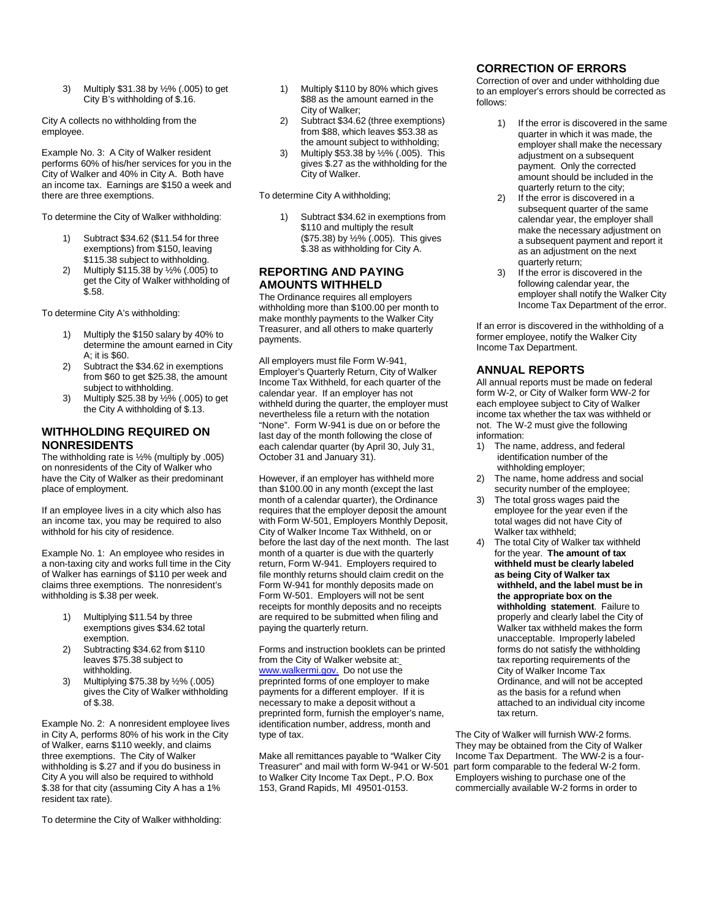3) Multiply \$31.38 by ½% (.005) to get City B's withholding of \$.16.

City A collects no withholding from the employee.

Example No. 3: A City of Walker resident performs 60% of his/her services for you in the City of Walker and 40% in City A. Both have an income tax. Earnings are \$150 a week and there are three exemptions.

To determine the City of Walker withholding:

- Subtract \$34.62 (\$11.54 for three exemptions) from \$150, leaving \$115.38 subject to withholding.
- 2) Multiply \$115.38 by ½% (.005) to get the City of Walker withholding of \$.58.

To determine City A's withholding:

- 1) Multiply the \$150 salary by 40% to determine the amount earned in City A; it is \$60.
- 2) Subtract the \$34.62 in exemptions from \$60 to get \$25.38, the amount subject to withholding.
- 3) Multiply \$25.38 by ½% (.005) to get the City A withholding of \$.13.

#### **WITHHOLDING REQUIRED ON NONRESIDENTS**

The withholding rate is ½% (multiply by .005) on nonresidents of the City of Walker who have the City of Walker as their predominant place of employment.

If an employee lives in a city which also has an income tax, you may be required to also withhold for his city of residence.

Example No. 1: An employee who resides in a non-taxing city and works full time in the City of Walker has earnings of \$110 per week and claims three exemptions. The nonresident's withholding is \$.38 per week.

- 1) Multiplying \$11.54 by three exemptions gives \$34.62 total exemption.
- 2) Subtracting \$34.62 from \$110 leaves \$75.38 subject to withholding.
- 3) Multiplying \$75.38 by ½% (.005) gives the City of Walker withholding of \$.38.

Example No. 2: A nonresident employee lives in City A, performs 80% of his work in the City of Walker, earns \$110 weekly, and claims three exemptions. The City of Walker withholding is \$.27 and if you do business in City A you will also be required to withhold \$.38 for that city (assuming City A has a 1% resident tax rate).

To determine the City of Walker withholding:

- 1) Multiply \$110 by 80% which gives \$88 as the amount earned in the City of Walker;
- 2) Subtract \$34.62 (three exemptions) from \$88, which leaves \$53.38 as the amount subject to withholding;
- 3) Multiply \$53.38 by ½% (.005). This gives \$.27 as the withholding for the City of Walker.

To determine City A withholding;

Subtract \$34.62 in exemptions from \$110 and multiply the result (\$75.38) by ½% (.005). This gives \$.38 as withholding for City A.

#### **REPORTING AND PAYING AMOUNTS WITHHELD**

The Ordinance requires all employers withholding more than \$100.00 per month to make monthly payments to the Walker City Treasurer, and all others to make quarterly payments.

All employers must file Form W-941, Employer's Quarterly Return, City of Walker Income Tax Withheld, for each quarter of the calendar year. If an employer has not withheld during the quarter, the employer must nevertheless file a return with the notation "None". Form W-941 is due on or before the last day of the month following the close of each calendar quarter (by April 30, July 31, October 31 and January 31).

However, if an employer has withheld more than \$100.00 in any month (except the last month of a calendar quarter), the Ordinance requires that the employer deposit the amount with Form W-501, Employers Monthly Deposit, City of Walker Income Tax Withheld, on or before the last day of the next month. The last month of a quarter is due with the quarterly return, Form W-941. Employers required to file monthly returns should claim credit on the Form W-941 for monthly deposits made on Form W-501. Employers will not be sent receipts for monthly deposits and no receipts are required to be submitted when filing and paying the quarterly return.

Forms and instruction booklets can be printed from the City of Walker website at: www.walkermi.gov. Do not use the preprinted forms of one employer to make payments for a different employer. If it is necessary to make a deposit without a preprinted form, furnish the employer's name, identification number, address, month and type of tax.

Make all remittances payable to "Walker City<br>Treasurer" and mail with form W-941 or W-501 to Walker City Income Tax Dept., P.O. Box 153, Grand Rapids, MI 49501-0153.

#### **CORRECTION OF ERRORS**

Correction of over and under withholding due to an employer's errors should be corrected as follows:

- 1) If the error is discovered in the same quarter in which it was made, the employer shall make the necessary adjustment on a subsequent payment. Only the corrected amount should be included in the quarterly return to the city;
- 2) If the error is discovered in a subsequent quarter of the same calendar year, the employer shall make the necessary adjustment on a subsequent payment and report it as an adjustment on the next quarterly return;
- 3) If the error is discovered in the following calendar year, the employer shall notify the Walker City Income Tax Department of the error.

If an error is discovered in the withholding of a former employee, notify the Walker City Income Tax Department.

#### **ANNUAL REPORTS**

All annual reports must be made on federal form W-2, or City of Walker form WW-2 for each employee subject to City of Walker income tax whether the tax was withheld or not. The W-2 must give the following information:<br>1) The nar

- The name, address, and federal identification number of the withholding employer;
- 2) The name, home address and social security number of the employee;
- The total gross wages paid the employee for the year even if the total wages did not have City of Walker tax withheld;
- 4) The total City of Walker tax withheld for the year. **The amount of tax withheld must be clearly labeled as being City of Walker tax withheld, and the label must be in the appropriate box on the withholding statement**. Failure to properly and clearly label the City of Walker tax withheld makes the form unacceptable. Improperly labeled forms do not satisfy the withholding tax reporting requirements of the City of Walker Income Tax Ordinance, and will not be accepted as the basis for a refund when attached to an individual city income tax return.

The City of Walker will furnish WW-2 forms. They may be obtained from the City of Walker Income Tax Department. The WW-2 is a four-<br>part form comparable to the federal W-2 form. Employers wishing to purchase one of the commercially available W-2 forms in order to